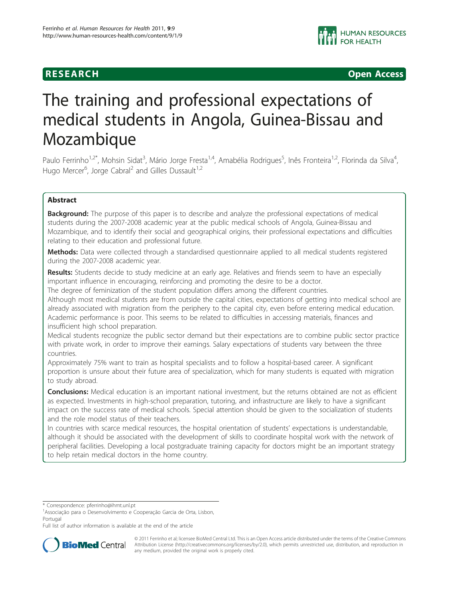**RESEARCH CONSTRUCTION CONSTRUCTS** 

# The training and professional expectations of medical students in Angola, Guinea-Bissau and Mozambique

Paulo Ferrinho<sup>1,2\*</sup>, Mohsin Sidat<sup>3</sup>, Mário Jorge Fresta<sup>1,4</sup>, Amabélia Rodrigues<sup>5</sup>, Inês Fronteira<sup>1,2</sup>, Florinda da Silva<sup>4</sup> , Hugo Mercer<sup>6</sup>, Jorge Cabral<sup>2</sup> and Gilles Dussault<sup>1,2</sup>

# Abstract

**Background:** The purpose of this paper is to describe and analyze the professional expectations of medical students during the 2007-2008 academic year at the public medical schools of Angola, Guinea-Bissau and Mozambique, and to identify their social and geographical origins, their professional expectations and difficulties relating to their education and professional future.

Methods: Data were collected through a standardised questionnaire applied to all medical students registered during the 2007-2008 academic year.

Results: Students decide to study medicine at an early age. Relatives and friends seem to have an especially important influence in encouraging, reinforcing and promoting the desire to be a doctor.

The degree of feminization of the student population differs among the different countries.

Although most medical students are from outside the capital cities, expectations of getting into medical school are already associated with migration from the periphery to the capital city, even before entering medical education. Academic performance is poor. This seems to be related to difficulties in accessing materials, finances and insufficient high school preparation.

Medical students recognize the public sector demand but their expectations are to combine public sector practice with private work, in order to improve their earnings. Salary expectations of students vary between the three countries.

Approximately 75% want to train as hospital specialists and to follow a hospital-based career. A significant proportion is unsure about their future area of specialization, which for many students is equated with migration to study abroad.

**Conclusions:** Medical education is an important national investment, but the returns obtained are not as efficient as expected. Investments in high-school preparation, tutoring, and infrastructure are likely to have a significant impact on the success rate of medical schools. Special attention should be given to the socialization of students and the role model status of their teachers.

In countries with scarce medical resources, the hospital orientation of students' expectations is understandable, although it should be associated with the development of skills to coordinate hospital work with the network of peripheral facilities. Developing a local postgraduate training capacity for doctors might be an important strategy to help retain medical doctors in the home country.

Full list of author information is available at the end of the article



© 2011 Ferrinho et al; licensee BioMed Central Ltd. This is an Open Access article distributed under the terms of the Creative Commons Attribution License [\(http://creativecommons.org/licenses/by/2.0](http://creativecommons.org/licenses/by/2.0)), which permits unrestricted use, distribution, and reproduction in any medium, provided the original work is properly cited.

<sup>\*</sup> Correspondence: [pferrinho@ihmt.unl.pt](mailto:pferrinho@ihmt.unl.pt)

<sup>&</sup>lt;sup>1</sup> Associação para o Desenvolvimento e Cooperação Garcia de Orta, Lisbon, Portugal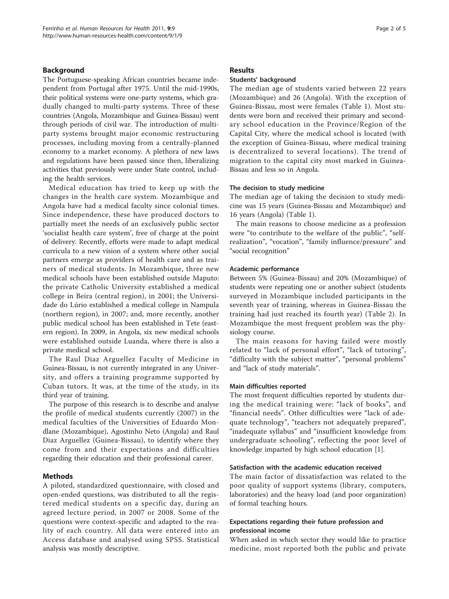# Background

The Portuguese-speaking African countries became independent from Portugal after 1975. Until the mid-1990s, their political systems were one-party systems, which gradually changed to multi-party systems. Three of these countries (Angola, Mozambique and Guinea-Bissau) went through periods of civil war. The introduction of multiparty systems brought major economic restructuring processes, including moving from a centrally-planned economy to a market economy. A plethora of new laws and regulations have been passed since then, liberalizing activities that previously were under State control, including the health services.

Medical education has tried to keep up with the changes in the health care system. Mozambique and Angola have had a medical faculty since colonial times. Since independence, these have produced doctors to partially meet the needs of an exclusively public sector 'socialist health care system', free of charge at the point of delivery. Recently, efforts were made to adapt medical curricula to a new vision of a system where other social partners emerge as providers of health care and as trainers of medical students. In Mozambique, three new medical schools have been established outside Maputo: the private Catholic University established a medical college in Beira (central region), in 2001; the Universidade do Lúrio established a medical college in Nampula (northern region), in 2007; and, more recently, another public medical school has been established in Tete (eastern region). In 2009, in Angola, six new medical schools were established outside Luanda, where there is also a private medical school.

The Raul Diaz Arguellez Faculty of Medicine in Guinea-Bissau, is not currently integrated in any University, and offers a training programme supported by Cuban tutors. It was, at the time of the study, in its third year of training.

The purpose of this research is to describe and analyse the profile of medical students currently (2007) in the medical faculties of the Universities of Eduardo Mondlane (Mozambique), Agostinho Neto (Angola) and Raul Diaz Arguellez (Guinea-Bissau), to identify where they come from and their expectations and difficulties regarding their education and their professional career.

## Methods

A piloted, standardized questionnaire, with closed and open-ended questions, was distributed to all the registered medical students on a specific day, during an agreed lecture period, in 2007 or 2008. Some of the questions were context-specific and adapted to the reality of each country. All data were entered into an Access database and analysed using SPSS. Statistical analysis was mostly descriptive.

### Results

# Students' background

The median age of students varied between 22 years (Mozambique) and 26 (Angola). With the exception of Guinea-Bissau, most were females (Table [1](#page-2-0)). Most students were born and received their primary and secondary school education in the Province/Region of the Capital City, where the medical school is located (with the exception of Guinea-Bissau, where medical training is decentralized to several locations). The trend of migration to the capital city most marked in Guinea-Bissau and less so in Angola.

#### The decision to study medicine

The median age of taking the decision to study medicine was 15 years (Guinea-Bissau and Mozambique) and 16 years (Angola) (Table [1](#page-2-0)).

The main reasons to choose medicine as a profession were "to contribute to the welfare of the public", "selfrealization", "vocation", "family influence/pressure" and "social recognition"

#### Academic performance

Between 5% (Guinea-Bissau) and 20% (Mozambique) of students were repeating one or another subject (students surveyed in Mozambique included participants in the seventh year of training, whereas in Guinea-Bissau the training had just reached its fourth year) (Table [2](#page-2-0)). In Mozambique the most frequent problem was the physiology course.

The main reasons for having failed were mostly related to "lack of personal effort", "lack of tutoring", "difficulty with the subject matter", "personal problems" and "lack of study materials".

#### Main difficulties reported

The most frequent difficulties reported by students during the medical training were: "lack of books", and "financial needs". Other difficulties were "lack of adequate technology", "teachers not adequately prepared", "inadequate syllabus" and "insufficient knowledge from undergraduate schooling", reflecting the poor level of knowledge imparted by high school education [\[1](#page-4-0)].

#### Satisfaction with the academic education received

The main factor of dissatisfaction was related to the poor quality of support systems (library, computers, laboratories) and the heavy load (and poor organization) of formal teaching hours.

# Expectations regarding their future profession and professional income

When asked in which sector they would like to practice medicine, most reported both the public and private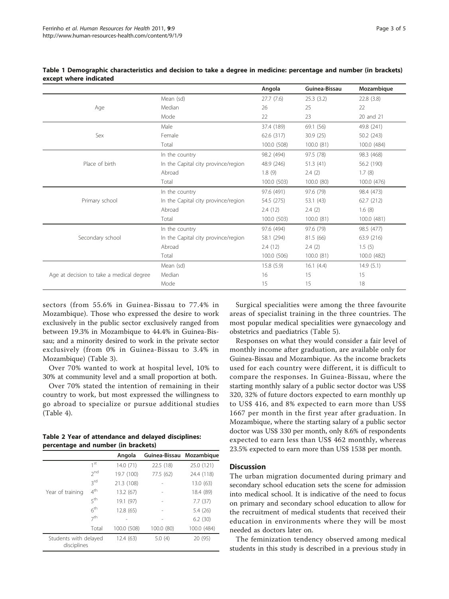|                                          |                                     | Angola      | Guinea-Bissau | Mozambique  |
|------------------------------------------|-------------------------------------|-------------|---------------|-------------|
|                                          | Mean (sd)                           | 27.7(7.6)   | 25.3(3.2)     | 22.8(3.8)   |
| Age                                      | Median                              | 26          | 25            | 22          |
|                                          | Mode                                | 22          | 23            | 20 and 21   |
|                                          | Male                                | 37.4 (189)  | 69.1 (56)     | 49.8 (241)  |
| Sex                                      | Female                              | 62.6 (317)  | 30.9(25)      | 50.2 (243)  |
|                                          | Total                               | 100.0 (508) | 100.0 (81)    | 100.0 (484) |
|                                          | In the country                      | 98.2 (494)  | 97.5 (78)     | 98.3 (468)  |
| Place of birth                           | In the Capital city province/region | 48.9 (246)  | 51.3 (41)     | 56.2 (190)  |
|                                          | Abroad                              | 1.8(9)      | 2.4(2)        | 1.7(8)      |
|                                          | Total                               | 100.0 (503) | 100.0 (80)    | 100.0 (476) |
|                                          | In the country                      | 97.6 (491)  | 97.6 (79)     | 98.4 (473)  |
| Primary school                           | In the Capital city province/region | 54.5 (275)  | 53.1(43)      | 62.7 (212)  |
|                                          | Abroad                              | 2.4(12)     | 2.4(2)        | 1.6(8)      |
|                                          | Total                               | 100.0 (503) | 100.0(81)     | 100.0 (481) |
|                                          | In the country                      | 97.6 (494)  | 97.6 (79)     | 98.5 (477)  |
| Secondary school                         | In the Capital city province/region | 58.1 (294)  | 81.5 (66)     | 63.9 (216)  |
|                                          | Abroad                              | 2.4(12)     | 2.4(2)        | 1.5(5)      |
|                                          | Total                               | 100.0 (506) | 100.0(81)     | 100.0 (482) |
|                                          | Mean (sd)                           | 15.8(5.9)   | 16.1(4.4)     | 14.9(5.1)   |
| Age at decision to take a medical degree | Median                              | 16          | 15            | 15          |
|                                          | Mode                                | 15          | 15            | 18          |

# <span id="page-2-0"></span>Table 1 Demographic characteristics and decision to take a degree in medicine: percentage and number (in brackets) except where indicated

sectors (from 55.6% in Guinea-Bissau to 77.4% in Mozambique). Those who expressed the desire to work exclusively in the public sector exclusively ranged from between 19.3% in Mozambique to 44.4% in Guinea-Bissau; and a minority desired to work in the private sector exclusively (from 0% in Guinea-Bissau to 3.4% in Mozambique) (Table [3\)](#page-3-0).

Over 70% wanted to work at hospital level, 10% to 30% at community level and a small proportion at both.

Over 70% stated the intention of remaining in their country to work, but most expressed the willingness to go abroad to specialize or pursue additional studies (Table [4\)](#page-3-0).

| Table 2 Year of attendance and delayed disciplines: |  |  |
|-----------------------------------------------------|--|--|
| percentage and number (in brackets)                 |  |  |

|                                      |                 | Angola      | Guinea-Bissau Mozambique |             |
|--------------------------------------|-----------------|-------------|--------------------------|-------------|
|                                      | 1 <sup>st</sup> | 14.0(71)    | 22.5(18)                 | 25.0 (121)  |
|                                      | 2 <sub>nd</sub> | 19.7 (100)  | 77.5 (62)                | 24.4 (118)  |
|                                      | 3rd             | 21.3 (108)  |                          | 13.0 (63)   |
| Year of training                     | 4 <sup>th</sup> | 13.2 (67)   |                          | 18.4 (89)   |
|                                      | 5 <sup>th</sup> | 19.1 (97)   |                          | 7.7(37)     |
|                                      | 6 <sup>th</sup> | 12.8 (65)   | ۰                        | 5.4 (26)    |
|                                      | 7 <sup>th</sup> |             |                          | 6.2(30)     |
|                                      | Total           | 100.0 (508) | 100.0 (80)               | 100.0 (484) |
| Students with delayed<br>disciplines |                 | 12.4(63)    | 5.0(4)                   | 20 (95)     |

Surgical specialities were among the three favourite areas of specialist training in the three countries. The most popular medical specialities were gynaecology and obstetrics and paediatrics (Table [5](#page-4-0)).

Responses on what they would consider a fair level of monthly income after graduation, are available only for Guinea-Bissau and Mozambique. As the income brackets used for each country were different, it is difficult to compare the responses. In Guinea-Bissau, where the starting monthly salary of a public sector doctor was US\$ 320, 32% of future doctors expected to earn monthly up to US\$ 416, and 8% expected to earn more than US\$ 1667 per month in the first year after graduation. In Mozambique, where the starting salary of a public sector doctor was US\$ 330 per month, only 8.6% of respondents expected to earn less than US\$ 462 monthly, whereas 23.5% expected to earn more than US\$ 1538 per month.

# **Discussion**

The urban migration documented during primary and secondary school education sets the scene for admission into medical school. It is indicative of the need to focus on primary and secondary school education to allow for the recruitment of medical students that received their education in environments where they will be most needed as doctors later on.

The feminization tendency observed among medical students in this study is described in a previous study in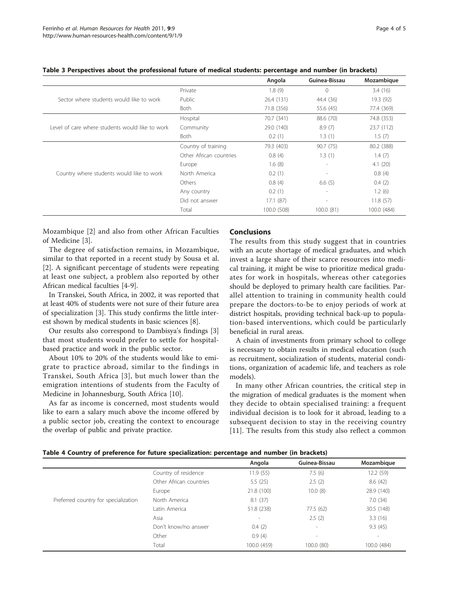|                                                 |                         | Angola      | Guinea-Bissau            | Mozambique  |
|-------------------------------------------------|-------------------------|-------------|--------------------------|-------------|
|                                                 | Private                 | 1.8(9)      | $\Omega$                 | 3.4(16)     |
| Sector where students would like to work        | Public                  | 26.4 (131)  | 44.4 (36)                | 19.3 (92)   |
|                                                 | <b>Both</b>             | 71.8 (356)  | 55.6 (45)                | 77.4 (369)  |
|                                                 | Hospital                | 70.7 (341)  | 88.6 (70)                | 74.8 (353)  |
| Level of care where students would like to work | Community               | 29.0 (140)  | 8.9(7)                   | 23.7 (112)  |
|                                                 | <b>Both</b>             | 0.2(1)      | 1.3(1)                   | 1.5(7)      |
|                                                 | Country of training     | 79.3 (403)  | 90.7 (75)                | 80.2 (388)  |
|                                                 | Other African countries | 0.8(4)      | 1.3(1)                   | 1.4(7)      |
|                                                 | Europe                  | 1.6(8)      | $\overline{\phantom{0}}$ | 4.1(20)     |
| Country where students would like to work       | North America           | 0.2(1)      | $\overline{\phantom{a}}$ | 0.8(4)      |
|                                                 | Others                  | 0.8(4)      | 6.6(5)                   | 0.4(2)      |
|                                                 | Any country             | 0.2(1)      | $\overline{\phantom{a}}$ | 1.2(6)      |
|                                                 | Did not answer          | 17.1(87)    |                          | 11.8(57)    |
|                                                 | Total                   | 100.0 (508) | 100.0 (81)               | 100.0 (484) |

<span id="page-3-0"></span>Table 3 Perspectives about the professional future of medical students: percentage and number (in brackets)

Mozambique [[2\]](#page-4-0) and also from other African Faculties of Medicine [\[3](#page-4-0)].

The degree of satisfaction remains, in Mozambique, similar to that reported in a recent study by Sousa et al. [[2\]](#page-4-0). A significant percentage of students were repeating at least one subject, a problem also reported by other African medical faculties [\[4](#page-4-0)-[9\]](#page-4-0).

In Transkei, South Africa, in 2002, it was reported that at least 40% of students were not sure of their future area of specialization [[3\]](#page-4-0). This study confirms the little interest shown by medical students in basic sciences [\[8](#page-4-0)].

Our results also correspond to Dambisya's findings [[3](#page-4-0)] that most students would prefer to settle for hospitalbased practice and work in the public sector.

About 10% to 20% of the students would like to emigrate to practice abroad, similar to the findings in Transkei, South Africa [\[3\]](#page-4-0), but much lower than the emigration intentions of students from the Faculty of Medicine in Johannesburg, South Africa [[10\]](#page-4-0).

As far as income is concerned, most students would like to earn a salary much above the income offered by a public sector job, creating the context to encourage the overlap of public and private practice.

# Conclusions

The results from this study suggest that in countries with an acute shortage of medical graduates, and which invest a large share of their scarce resources into medical training, it might be wise to prioritize medical graduates for work in hospitals, whereas other categories should be deployed to primary health care facilities. Parallel attention to training in community health could prepare the doctors-to-be to enjoy periods of work at district hospitals, providing technical back-up to population-based interventions, which could be particularly beneficial in rural areas.

A chain of investments from primary school to college is necessary to obtain results in medical education (such as recruitment, socialization of students, material conditions, organization of academic life, and teachers as role models).

In many other African countries, the critical step in the migration of medical graduates is the moment when they decide to obtain specialised training: a frequent individual decision is to look for it abroad, leading to a subsequent decision to stay in the receiving country [[11\]](#page-4-0). The results from this study also reflect a common

| Table 4 Country of preference for future specialization: percentage and number (in brackets) |  |  |  |
|----------------------------------------------------------------------------------------------|--|--|--|
|----------------------------------------------------------------------------------------------|--|--|--|

|                                      |                         | Angola                   | Guinea-Bissau            | Mozambique               |
|--------------------------------------|-------------------------|--------------------------|--------------------------|--------------------------|
|                                      | Country of residence    | 11.9 (55)                | 7.5(6)                   | 12.2(59)                 |
|                                      | Other African countries | 5.5(25)                  | 2.5(2)                   | 8.6(42)                  |
|                                      | Europe                  | 21.8 (100)               | 10.0(8)                  | 28.9 (140)               |
| Preferred country for specialization | North America           | 8.1(37)                  |                          | 7.0(34)                  |
|                                      | Latin America           | 51.8 (238)               | 77.5 (62)                | 30.5 (148)               |
|                                      | Asia                    | $\overline{\phantom{a}}$ | 2.5(2)                   | 3.3(16)                  |
|                                      | Don't know/no answer    | 0.4(2)                   | $\overline{\phantom{a}}$ | 9.3(45)                  |
|                                      | Other                   | 0.9(4)                   | $\overline{\phantom{a}}$ | $\overline{\phantom{a}}$ |
|                                      | Total                   | 100.0 (459)              | 100.0(80)                | 100.0 (484)              |